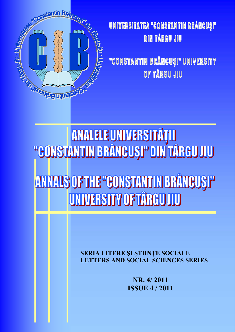

## UNIVERSITATEA "CONSTANTIN BRÂNCUȘI" **DIN TÅRGU JIU**

"CONSTANTIN BRÂNCUȘI" UNIVERSITY OF TÅRGU JIU

**TEONSTANTIN BRÂNEUSI" DIN TÂRGU JUU** ANNALS OF THE "GONSTANTIN BRÂNGUSI" UNIVERSITY OF TARGU JIU

> **SERIA LITERE ȘI ȘTIINȚE SOCIALE LETTERS AND SOCIAL SCIENCES SERIES**

> > NR. 4/2011 **ISSUE 4/2011**